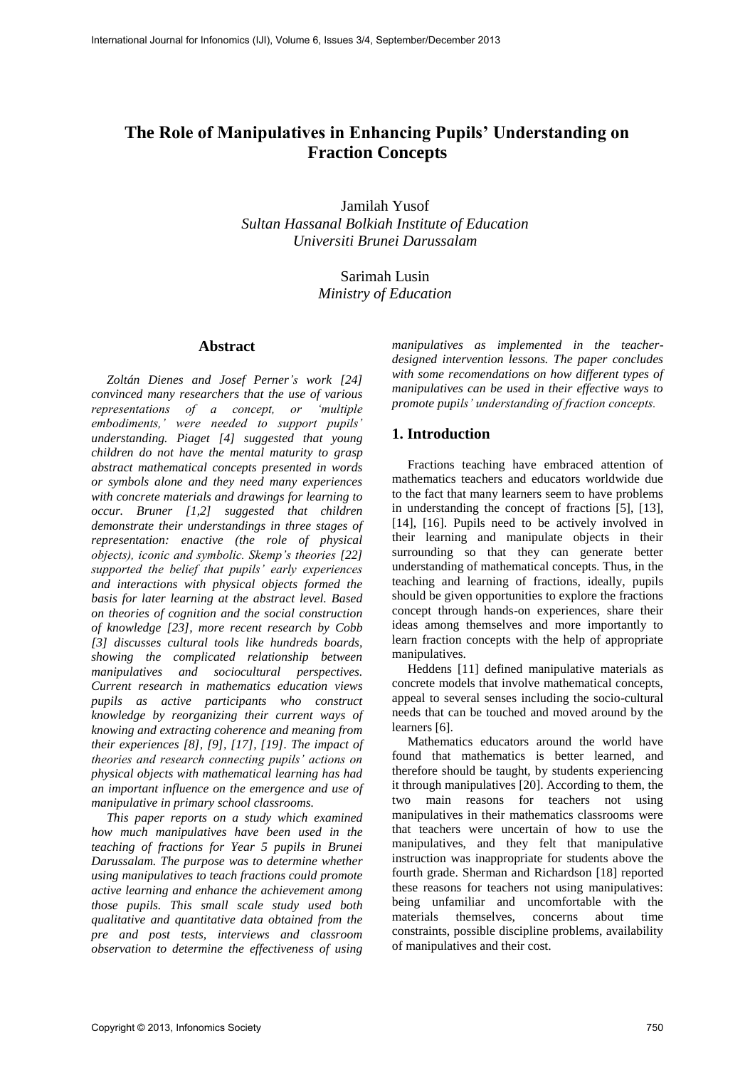# **The Role of Manipulatives in Enhancing Pupils' Understanding on Fraction Concepts**

Jamilah Yusof *Sultan Hassanal Bolkiah Institute of Education Universiti Brunei Darussalam* 

> Sarimah Lusin *Ministry of Education*

#### **Abstract**

*Zoltán Dienes and Josef Perner's work [24] convinced many researchers that the use of various representations of a concept, or 'multiple embodiments,' were needed to support pupils' understanding. Piaget [4] suggested that young children do not have the mental maturity to grasp abstract mathematical concepts presented in words or symbols alone and they need many experiences with concrete materials and drawings for learning to occur. Bruner [1,2] suggested that children demonstrate their understandings in three stages of representation: enactive (the role of physical objects), iconic and symbolic. Skemp's theories [22] supported the belief that pupils' early experiences and interactions with physical objects formed the basis for later learning at the abstract level. Based on theories of cognition and the social construction of knowledge [23], more recent research by Cobb [3] discusses cultural tools like hundreds boards, showing the complicated relationship between manipulatives and sociocultural perspectives. Current research in mathematics education views pupils as active participants who construct knowledge by reorganizing their current ways of knowing and extracting coherence and meaning from their experiences [8], [9], [17], [19]. The impact of theories and research connecting pupils' actions on physical objects with mathematical learning has had an important influence on the emergence and use of manipulative in primary school classrooms.* 

*This paper reports on a study which examined how much manipulatives have been used in the teaching of fractions for Year 5 pupils in Brunei Darussalam. The purpose was to determine whether using manipulatives to teach fractions could promote active learning and enhance the achievement among those pupils. This small scale study used both qualitative and quantitative data obtained from the pre and post tests, interviews and classroom observation to determine the effectiveness of using* 

*manipulatives as implemented in the teacherdesigned intervention lessons. The paper concludes with some recomendations on how different types of manipulatives can be used in their effective ways to promote pupils' understanding of fraction concepts.*

# **1. Introduction**

Fractions teaching have embraced attention of mathematics teachers and educators worldwide due to the fact that many learners seem to have problems in understanding the concept of fractions [5], [13], [14], [16]. Pupils need to be actively involved in their learning and manipulate objects in their surrounding so that they can generate better understanding of mathematical concepts. Thus, in the teaching and learning of fractions, ideally, pupils should be given opportunities to explore the fractions concept through hands-on experiences, share their ideas among themselves and more importantly to learn fraction concepts with the help of appropriate manipulatives.

Heddens [11] defined manipulative materials as concrete models that involve mathematical concepts, appeal to several senses including the socio-cultural needs that can be touched and moved around by the learners [6].

Mathematics educators around the world have found that mathematics is better learned, and therefore should be taught, by students experiencing it through manipulatives [20]. According to them, the two main reasons for teachers not using manipulatives in their mathematics classrooms were that teachers were uncertain of how to use the manipulatives, and they felt that manipulative instruction was inappropriate for students above the fourth grade. Sherman and Richardson [18] reported these reasons for teachers not using manipulatives: being unfamiliar and uncomfortable with the materials themselves, concerns about time constraints, possible discipline problems, availability of manipulatives and their cost.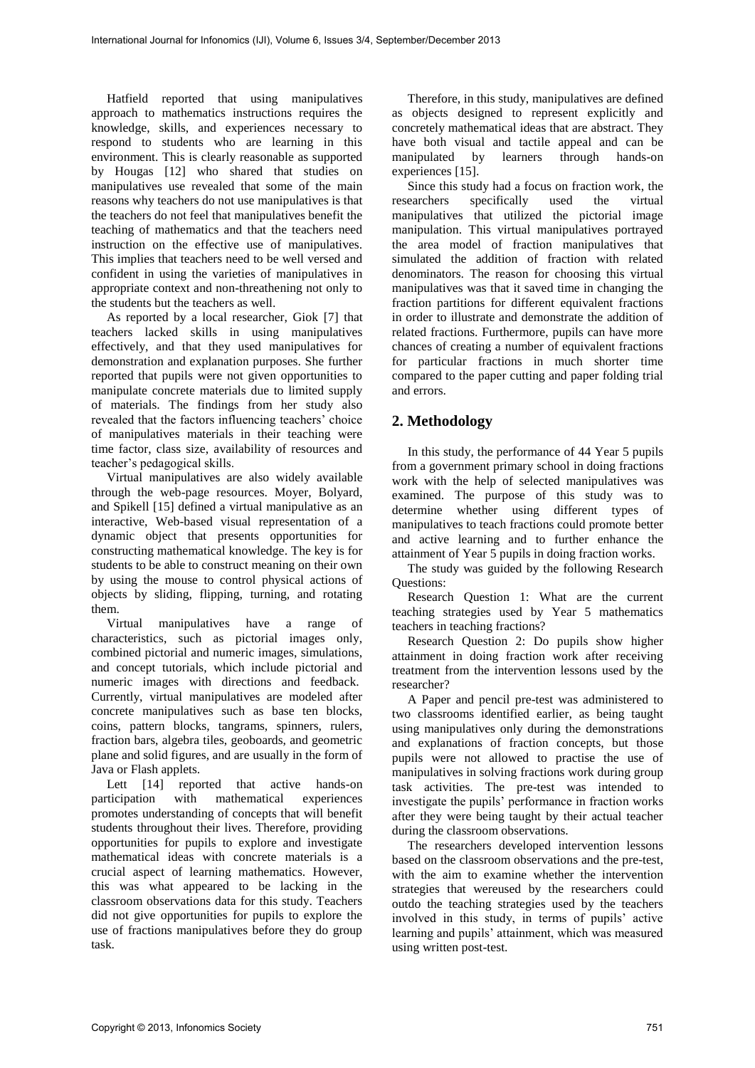Hatfield reported that using manipulatives approach to mathematics instructions requires the knowledge, skills, and experiences necessary to respond to students who are learning in this environment. This is clearly reasonable as supported by Hougas [12] who shared that studies on manipulatives use revealed that some of the main reasons why teachers do not use manipulatives is that the teachers do not feel that manipulatives benefit the teaching of mathematics and that the teachers need instruction on the effective use of manipulatives. This implies that teachers need to be well versed and confident in using the varieties of manipulatives in appropriate context and non-threathening not only to the students but the teachers as well.

As reported by a local researcher, Giok [7] that teachers lacked skills in using manipulatives effectively, and that they used manipulatives for demonstration and explanation purposes. She further reported that pupils were not given opportunities to manipulate concrete materials due to limited supply of materials. The findings from her study also revealed that the factors influencing teachers' choice of manipulatives materials in their teaching were time factor, class size, availability of resources and teacher's pedagogical skills.

Virtual manipulatives are also widely available through the web-page resources. Moyer, Bolyard, and Spikell [15] defined a virtual manipulative as an interactive, Web-based visual representation of a dynamic object that presents opportunities for constructing mathematical knowledge. The key is for students to be able to construct meaning on their own by using the mouse to control physical actions of objects by sliding, flipping, turning, and rotating them.

Virtual manipulatives have a range of characteristics, such as pictorial images only, combined pictorial and numeric images, simulations, and concept tutorials, which include pictorial and numeric images with directions and feedback. Currently, virtual manipulatives are modeled after concrete manipulatives such as base ten blocks, coins, pattern blocks, tangrams, spinners, rulers, fraction bars, algebra tiles, geoboards, and geometric plane and solid figures, and are usually in the form of Java or Flash applets.

Lett [14] reported that active hands-on participation with mathematical experiences promotes understanding of concepts that will benefit students throughout their lives. Therefore, providing opportunities for pupils to explore and investigate mathematical ideas with concrete materials is a crucial aspect of learning mathematics. However, this was what appeared to be lacking in the classroom observations data for this study. Teachers did not give opportunities for pupils to explore the use of fractions manipulatives before they do group task.

Therefore, in this study, manipulatives are defined as objects designed to represent explicitly and concretely mathematical ideas that are abstract. They have both visual and tactile appeal and can be manipulated by learners through hands-on experiences [15].

Since this study had a focus on fraction work, the researchers specifically used the virtual specifically used the virtual manipulatives that utilized the pictorial image manipulation. This virtual manipulatives portrayed the area model of fraction manipulatives that simulated the addition of fraction with related denominators. The reason for choosing this virtual manipulatives was that it saved time in changing the fraction partitions for different equivalent fractions in order to illustrate and demonstrate the addition of related fractions. Furthermore, pupils can have more chances of creating a number of equivalent fractions for particular fractions in much shorter time compared to the paper cutting and paper folding trial and errors.

# **2. Methodology**

In this study, the performance of 44 Year 5 pupils from a government primary school in doing fractions work with the help of selected manipulatives was examined. The purpose of this study was to determine whether using different types of manipulatives to teach fractions could promote better and active learning and to further enhance the attainment of Year 5 pupils in doing fraction works.

The study was guided by the following Research Questions:

Research Question 1: What are the current teaching strategies used by Year 5 mathematics teachers in teaching fractions?

Research Question 2: Do pupils show higher attainment in doing fraction work after receiving treatment from the intervention lessons used by the researcher?

A Paper and pencil pre-test was administered to two classrooms identified earlier, as being taught using manipulatives only during the demonstrations and explanations of fraction concepts, but those pupils were not allowed to practise the use of manipulatives in solving fractions work during group task activities. The pre-test was intended to investigate the pupils' performance in fraction works after they were being taught by their actual teacher during the classroom observations.

The researchers developed intervention lessons based on the classroom observations and the pre-test, with the aim to examine whether the intervention strategies that wereused by the researchers could outdo the teaching strategies used by the teachers involved in this study, in terms of pupils' active learning and pupils' attainment, which was measured using written post-test.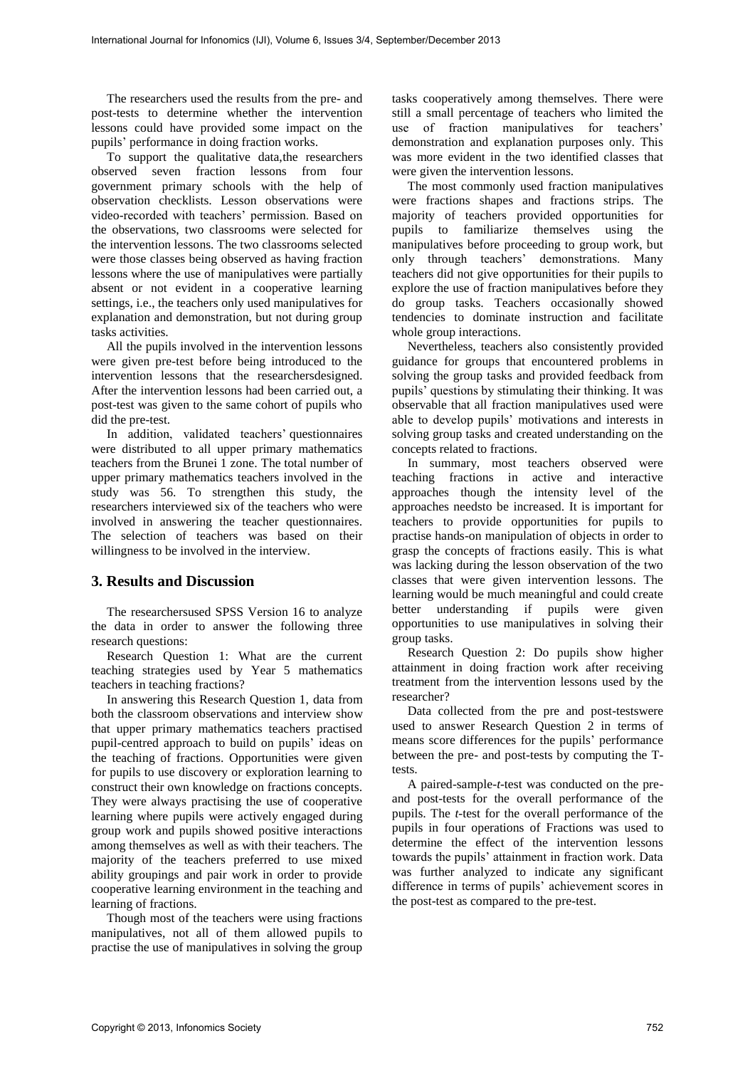The researchers used the results from the pre- and post-tests to determine whether the intervention lessons could have provided some impact on the pupils' performance in doing fraction works.

To support the qualitative data,the researchers observed seven fraction lessons from four government primary schools with the help of observation checklists. Lesson observations were video-recorded with teachers' permission. Based on the observations, two classrooms were selected for the intervention lessons. The two classrooms selected were those classes being observed as having fraction lessons where the use of manipulatives were partially absent or not evident in a cooperative learning settings, i.e., the teachers only used manipulatives for explanation and demonstration, but not during group tasks activities.

All the pupils involved in the intervention lessons were given pre-test before being introduced to the intervention lessons that the researchersdesigned. After the intervention lessons had been carried out, a post-test was given to the same cohort of pupils who did the pre-test.

In addition, validated teachers' questionnaires were distributed to all upper primary mathematics teachers from the Brunei 1 zone. The total number of upper primary mathematics teachers involved in the study was 56. To strengthen this study, the researchers interviewed six of the teachers who were involved in answering the teacher questionnaires. The selection of teachers was based on their willingness to be involved in the interview.

### **3. Results and Discussion**

The researchersused SPSS Version 16 to analyze the data in order to answer the following three research questions:

Research Question 1: What are the current teaching strategies used by Year 5 mathematics teachers in teaching fractions?

In answering this Research Question 1, data from both the classroom observations and interview show that upper primary mathematics teachers practised pupil-centred approach to build on pupils' ideas on the teaching of fractions. Opportunities were given for pupils to use discovery or exploration learning to construct their own knowledge on fractions concepts. They were always practising the use of cooperative learning where pupils were actively engaged during group work and pupils showed positive interactions among themselves as well as with their teachers. The majority of the teachers preferred to use mixed ability groupings and pair work in order to provide cooperative learning environment in the teaching and learning of fractions.

Though most of the teachers were using fractions manipulatives, not all of them allowed pupils to practise the use of manipulatives in solving the group

tasks cooperatively among themselves. There were still a small percentage of teachers who limited the use of fraction manipulatives for teachers' demonstration and explanation purposes only. This was more evident in the two identified classes that were given the intervention lessons.

The most commonly used fraction manipulatives were fractions shapes and fractions strips. The majority of teachers provided opportunities for pupils to familiarize themselves using the manipulatives before proceeding to group work, but only through teachers' demonstrations. Many teachers did not give opportunities for their pupils to explore the use of fraction manipulatives before they do group tasks. Teachers occasionally showed tendencies to dominate instruction and facilitate whole group interactions.

Nevertheless, teachers also consistently provided guidance for groups that encountered problems in solving the group tasks and provided feedback from pupils' questions by stimulating their thinking. It was observable that all fraction manipulatives used were able to develop pupils' motivations and interests in solving group tasks and created understanding on the concepts related to fractions.

In summary, most teachers observed were teaching fractions in active and interactive approaches though the intensity level of the approaches needsto be increased. It is important for teachers to provide opportunities for pupils to practise hands-on manipulation of objects in order to grasp the concepts of fractions easily. This is what was lacking during the lesson observation of the two classes that were given intervention lessons. The learning would be much meaningful and could create better understanding if pupils were given opportunities to use manipulatives in solving their group tasks.

Research Question 2: Do pupils show higher attainment in doing fraction work after receiving treatment from the intervention lessons used by the researcher?

Data collected from the pre and post-testswere used to answer Research Question 2 in terms of means score differences for the pupils' performance between the pre- and post-tests by computing the Ttests.

A paired-sample-*t*-test was conducted on the preand post-tests for the overall performance of the pupils. The *t*-test for the overall performance of the pupils in four operations of Fractions was used to determine the effect of the intervention lessons towards the pupils' attainment in fraction work. Data was further analyzed to indicate any significant difference in terms of pupils' achievement scores in the post-test as compared to the pre-test.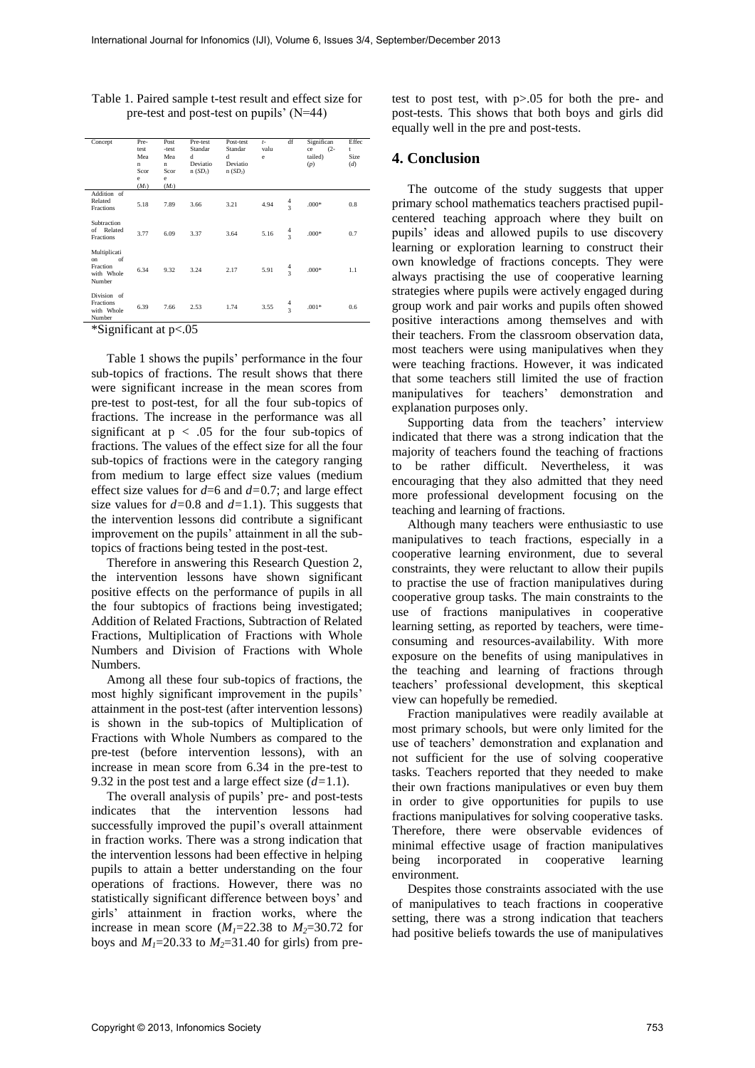| Concept                                                      | Pre-<br>test<br>Mea<br>$\mathbf n$<br>Scor<br>e<br>(M <sub>I</sub> ) | Post<br>-test<br>Mea<br>n<br>Scor<br>e<br>$(M_2)$ | Pre-test<br>Standar<br>d<br>Deviatio<br>n(SD) | Post-test<br>Standar<br>đ<br>Deviatio<br>$n(SD_2)$ | $t-$<br>valu<br>e | df                                        | Significan<br>$(2 -$<br>ce<br>tailed)<br>(p) | Effec<br>t<br>Size<br>(d) |
|--------------------------------------------------------------|----------------------------------------------------------------------|---------------------------------------------------|-----------------------------------------------|----------------------------------------------------|-------------------|-------------------------------------------|----------------------------------------------|---------------------------|
| Addition of<br>Related<br>Fractions                          | 5.18                                                                 | 7.89                                              | 3.66                                          | 3.21                                               | 4.94              | $\frac{4}{3}$                             | $.000*$                                      | 0.8                       |
| Subtraction<br>Related<br>of<br>Fractions                    | 3.77                                                                 | 6.09                                              | 3.37                                          | 3.64                                               | 5.16              | $\frac{4}{3}$                             | $.000*$                                      | 0.7                       |
| Multiplicati<br>of<br>on<br>Fraction<br>with Whole<br>Number | 6.34                                                                 | 9.32                                              | 3.24                                          | 2.17                                               | 5.91              | $\frac{4}{3}$                             | $.000*$                                      | 1.1                       |
| Division of<br>Fractions<br>with Whole<br>Number             | 6.39                                                                 | 7.66                                              | 2.53                                          | 1.74                                               | 3.55              | $\overline{4}$<br>$\overline{\mathbf{3}}$ | $.001*$                                      | 0.6                       |
| $+0.1$                                                       |                                                                      |                                                   |                                               |                                                    |                   |                                           |                                              |                           |

Table 1. Paired sample t-test result and effect size for pre-test and post-test on pupils' (N=44)

\*Significant at p<.05

Table 1 shows the pupils' performance in the four sub-topics of fractions. The result shows that there were significant increase in the mean scores from pre-test to post-test, for all the four sub-topics of fractions. The increase in the performance was all significant at  $p < .05$  for the four sub-topics of fractions. The values of the effect size for all the four sub-topics of fractions were in the category ranging from medium to large effect size values (medium effect size values for *d*=6 and *d=*0.7; and large effect size values for *d=*0.8 and *d=*1.1). This suggests that the intervention lessons did contribute a significant improvement on the pupils' attainment in all the subtopics of fractions being tested in the post-test.

Therefore in answering this Research Question 2, the intervention lessons have shown significant positive effects on the performance of pupils in all the four subtopics of fractions being investigated; Addition of Related Fractions, Subtraction of Related Fractions, Multiplication of Fractions with Whole Numbers and Division of Fractions with Whole Numbers.

Among all these four sub-topics of fractions, the most highly significant improvement in the pupils' attainment in the post-test (after intervention lessons) is shown in the sub-topics of Multiplication of Fractions with Whole Numbers as compared to the pre-test (before intervention lessons), with an increase in mean score from 6.34 in the pre-test to 9.32 in the post test and a large effect size (*d=*1.1).

The overall analysis of pupils' pre- and post-tests indicates that the intervention lessons had successfully improved the pupil's overall attainment in fraction works. There was a strong indication that the intervention lessons had been effective in helping pupils to attain a better understanding on the four operations of fractions. However, there was no statistically significant difference between boys' and girls' attainment in fraction works, where the increase in mean score  $(M_1=22.38$  to  $M_2=30.72$  for boys and  $M_1$ =20.33 to  $M_2$ =31.40 for girls) from pre-

test to post test, with p>.05 for both the pre- and post-tests. This shows that both boys and girls did equally well in the pre and post-tests.

## **4. Conclusion**

The outcome of the study suggests that upper primary school mathematics teachers practised pupilcentered teaching approach where they built on pupils' ideas and allowed pupils to use discovery learning or exploration learning to construct their own knowledge of fractions concepts. They were always practising the use of cooperative learning strategies where pupils were actively engaged during group work and pair works and pupils often showed positive interactions among themselves and with their teachers. From the classroom observation data, most teachers were using manipulatives when they were teaching fractions. However, it was indicated that some teachers still limited the use of fraction manipulatives for teachers' demonstration and explanation purposes only.

Supporting data from the teachers' interview indicated that there was a strong indication that the majority of teachers found the teaching of fractions to be rather difficult. Nevertheless, it was encouraging that they also admitted that they need more professional development focusing on the teaching and learning of fractions.

Although many teachers were enthusiastic to use manipulatives to teach fractions, especially in a cooperative learning environment, due to several constraints, they were reluctant to allow their pupils to practise the use of fraction manipulatives during cooperative group tasks. The main constraints to the use of fractions manipulatives in cooperative learning setting, as reported by teachers, were timeconsuming and resources-availability. With more exposure on the benefits of using manipulatives in the teaching and learning of fractions through teachers' professional development, this skeptical view can hopefully be remedied.

Fraction manipulatives were readily available at most primary schools, but were only limited for the use of teachers' demonstration and explanation and not sufficient for the use of solving cooperative tasks. Teachers reported that they needed to make their own fractions manipulatives or even buy them in order to give opportunities for pupils to use fractions manipulatives for solving cooperative tasks. Therefore, there were observable evidences of minimal effective usage of fraction manipulatives being incorporated in cooperative learning environment.

Despites those constraints associated with the use of manipulatives to teach fractions in cooperative setting, there was a strong indication that teachers had positive beliefs towards the use of manipulatives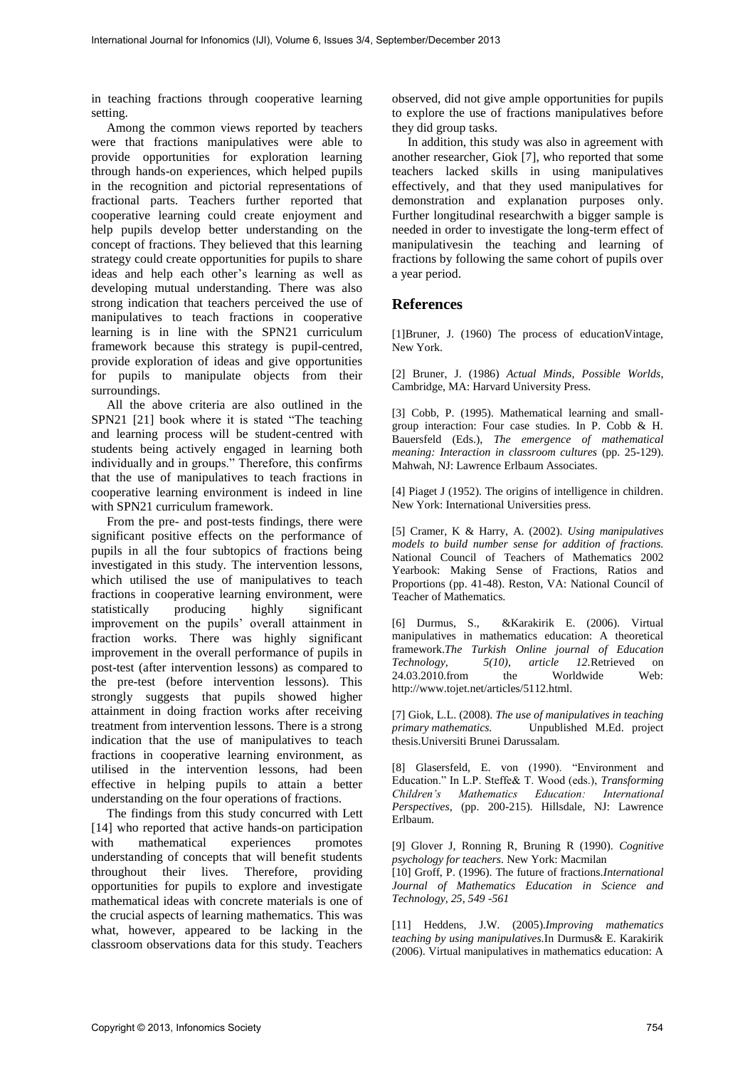in teaching fractions through cooperative learning setting.

Among the common views reported by teachers were that fractions manipulatives were able to provide opportunities for exploration learning through hands-on experiences, which helped pupils in the recognition and pictorial representations of fractional parts. Teachers further reported that cooperative learning could create enjoyment and help pupils develop better understanding on the concept of fractions. They believed that this learning strategy could create opportunities for pupils to share ideas and help each other's learning as well as developing mutual understanding. There was also strong indication that teachers perceived the use of manipulatives to teach fractions in cooperative learning is in line with the SPN21 curriculum framework because this strategy is pupil-centred, provide exploration of ideas and give opportunities for pupils to manipulate objects from their surroundings.

All the above criteria are also outlined in the SPN21 [21] book where it is stated "The teaching and learning process will be student-centred with students being actively engaged in learning both individually and in groups." Therefore, this confirms that the use of manipulatives to teach fractions in cooperative learning environment is indeed in line with SPN21 curriculum framework.

From the pre- and post-tests findings, there were significant positive effects on the performance of pupils in all the four subtopics of fractions being investigated in this study. The intervention lessons, which utilised the use of manipulatives to teach fractions in cooperative learning environment, were statistically producing highly significant improvement on the pupils' overall attainment in fraction works. There was highly significant improvement in the overall performance of pupils in post-test (after intervention lessons) as compared to the pre-test (before intervention lessons). This strongly suggests that pupils showed higher attainment in doing fraction works after receiving treatment from intervention lessons. There is a strong indication that the use of manipulatives to teach fractions in cooperative learning environment, as utilised in the intervention lessons, had been effective in helping pupils to attain a better understanding on the four operations of fractions.

The findings from this study concurred with Lett [14] who reported that active hands-on participation with mathematical experiences promotes understanding of concepts that will benefit students throughout their lives. Therefore, providing opportunities for pupils to explore and investigate mathematical ideas with concrete materials is one of the crucial aspects of learning mathematics. This was what, however, appeared to be lacking in the classroom observations data for this study. Teachers observed, did not give ample opportunities for pupils to explore the use of fractions manipulatives before they did group tasks.

In addition, this study was also in agreement with another researcher, Giok [7], who reported that some teachers lacked skills in using manipulatives effectively, and that they used manipulatives for demonstration and explanation purposes only. Further longitudinal researchwith a bigger sample is needed in order to investigate the long-term effect of manipulativesin the teaching and learning of fractions by following the same cohort of pupils over a year period.

## **References**

[1]Bruner, J. (1960) The process of educationVintage, New York.

[2] Bruner, J. (1986) *Actual Minds, Possible Worlds*, Cambridge, MA: Harvard University Press.

[3] Cobb, P. (1995). Mathematical learning and smallgroup interaction: Four case studies. In P. Cobb & H. Bauersfeld (Eds.), *The emergence of mathematical meaning: Interaction in classroom cultures* (pp. 25-129). Mahwah, NJ: Lawrence Erlbaum Associates.

[4] Piaget J (1952). The origins of intelligence in children. New York: International Universities press.

[5] Cramer, K & Harry, A. (2002). *Using manipulatives models to build number sense for addition of fractions.* National Council of Teachers of Mathematics 2002 Yearbook: Making Sense of Fractions, Ratios and Proportions (pp. 41-48). Reston, VA: National Council of Teacher of Mathematics.

[6] Durmus, S., &Karakirik E. (2006). Virtual manipulatives in mathematics education: A theoretical framework.*The Turkish Online journal of Education Technology, 5(10), article 12.*Retrieved on 24.03.2010.from the http://www.tojet.net/articles/5112.html.

[7] Giok, L.L. (2008). *The use of manipulatives in teaching primary mathematics.* Unpublished M.Ed. project thesis.Universiti Brunei Darussalam.

[8] Glasersfeld, E. von (1990). "Environment and Education." In L.P. Steffe& T. Wood (eds.), *Transforming Children's Mathematics Education: International Perspectives*, (pp. 200-215). Hillsdale, NJ: Lawrence Erlbaum.

[9] Glover J, Ronning R, Bruning R (1990). *Cognitive psychology for teachers.* New York: Macmilan

[10] Groff, P. (1996). The future of fractions.*International Journal of Mathematics Education in Science and Technology, 25, 549 -561* 

[11] Heddens, J.W. (2005).*Improving mathematics teaching by using manipulatives.*In Durmus& E. Karakirik (2006). Virtual manipulatives in mathematics education: A